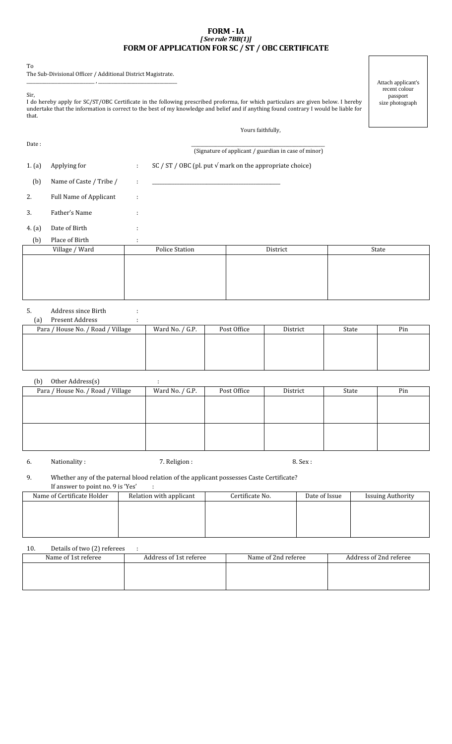#### FORM - IA [ See rule 7BB(1)] FORM OF APPLICATION FOR SC / ST / OBC CERTIFICATE

To

The Sub-Divisional Officer / Additional District Magistrate. \_\_\_\_\_\_\_\_\_\_\_\_\_\_\_\_\_\_\_\_\_\_\_\_\_\_\_\_\_\_\_ , \_\_\_\_\_\_\_\_\_\_\_\_\_\_\_\_\_\_\_\_\_\_\_\_\_\_\_\_\_\_\_\_\_\_\_\_

Sir,

I do hereby apply for SC/ST/OBC Certificate in the following prescribed proforma, for which particulars are given below. I hereby undertake that the information is correct to the best of my knowledge and belief and if anything found contrary I would be liable for that.

Attach applicant's recent colour passport size photograph

### Yours faithfully,

| Date:  |                               |                   |                                                                   | (Signature of applicant / guardian in case of minor) |       |
|--------|-------------------------------|-------------------|-------------------------------------------------------------------|------------------------------------------------------|-------|
| 1. (a) | Applying for                  | ÷.                | SC / ST / OBC (pl. put $\sqrt{m}$ mark on the appropriate choice) |                                                      |       |
| (b)    | Name of Caste / Tribe /       | ÷                 |                                                                   |                                                      |       |
| 2.     | <b>Full Name of Applicant</b> | ÷                 |                                                                   |                                                      |       |
| 3.     | Father's Name                 | ٠<br>$\mathbf{r}$ |                                                                   |                                                      |       |
| 4. (a) | Date of Birth                 | ÷                 |                                                                   |                                                      |       |
| (b)    | Place of Birth                | ÷                 |                                                                   |                                                      |       |
|        | Village / Ward                |                   | <b>Police Station</b>                                             | District                                             | State |
|        |                               |                   |                                                                   |                                                      |       |
|        |                               |                   |                                                                   |                                                      |       |
|        |                               |                   |                                                                   |                                                      |       |
|        |                               |                   |                                                                   |                                                      |       |

# 5. Address since Birth :

| Present Address<br>(a)            |                 |             |          |       |     |
|-----------------------------------|-----------------|-------------|----------|-------|-----|
| Para / House No. / Road / Village | Ward No. / G.P. | Post Office | District | State | Pin |
|                                   |                 |             |          |       |     |
|                                   |                 |             |          |       |     |
|                                   |                 |             |          |       |     |
|                                   |                 |             |          |       |     |

#### (b) Other Address(s) :

| Para / House No. / Road / Village | Ward No. / G.P. | Post Office | District | State | Pin |
|-----------------------------------|-----------------|-------------|----------|-------|-----|
|                                   |                 |             |          |       |     |
|                                   |                 |             |          |       |     |
|                                   |                 |             |          |       |     |
|                                   |                 |             |          |       |     |
|                                   |                 |             |          |       |     |

6. Nationality : T. Religion : 8. Sex :

#### 9. Whether any of the paternal blood relation of the applicant possesses Caste Certificate? If answer to point no.  $9$  is 'Yes'  $\qquad \, :$

| Name of Certificate Holder | Relation with applicant | Certificate No. | Date of Issue | <b>Issuing Authority</b> |
|----------------------------|-------------------------|-----------------|---------------|--------------------------|
|                            |                         |                 |               |                          |
|                            |                         |                 |               |                          |
|                            |                         |                 |               |                          |
|                            |                         |                 |               |                          |

## 10. Details of two (2) referees

| Name of 1st referee | Address of 1st referee | Name of 2nd referee | Address of 2nd referee |
|---------------------|------------------------|---------------------|------------------------|
|                     |                        |                     |                        |
|                     |                        |                     |                        |
|                     |                        |                     |                        |